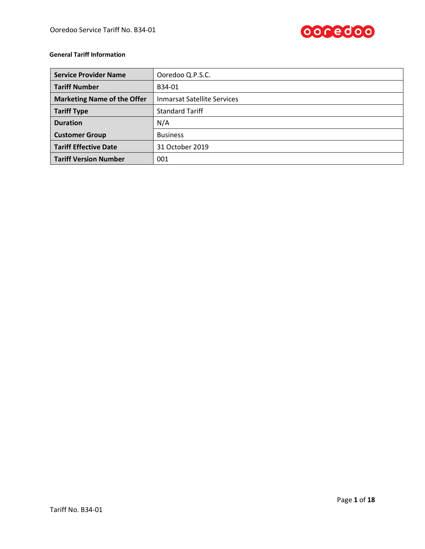

# **General Tariff Information**

| <b>Service Provider Name</b>       | Ooredoo Q.P.S.C.                   |
|------------------------------------|------------------------------------|
| <b>Tariff Number</b>               | B34-01                             |
| <b>Marketing Name of the Offer</b> | <b>Inmarsat Satellite Services</b> |
| <b>Tariff Type</b>                 | <b>Standard Tariff</b>             |
| <b>Duration</b>                    | N/A                                |
| <b>Customer Group</b>              | <b>Business</b>                    |
| <b>Tariff Effective Date</b>       | 31 October 2019                    |
| <b>Tariff Version Number</b>       | 001                                |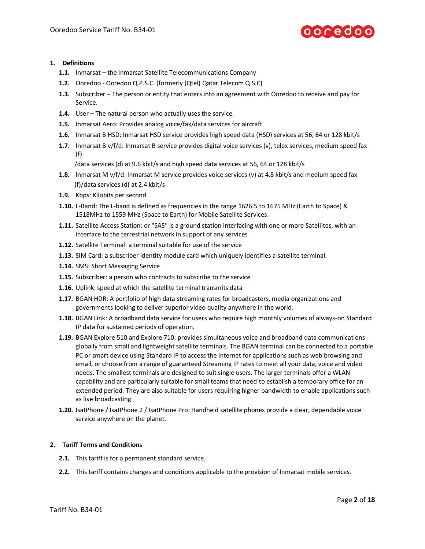

#### **1. Definitions**

- **1.1.** Inmarsat the Inmarsat Satellite Telecommunications Company
- **1.2.** Ooredoo Ooredoo Q.P.S.C. (formerly (Qtel) Qatar Telecom Q.S.C)
- **1.3.** Subscriber The person or entity that enters into an agreement with Ooredoo to receive and pay for Service.
- **1.4.** User The natural person who actually uses the service.
- **1.5.** Inmarsat Aero: Provides analog voice/fax/data services for aircraft
- **1.6.** Inmarsat B HSD: Inmarsat HSD service provides high speed data (HSD) services at 56, 64 or 128 kbit/s
- **1.7.** Inmarsat B v/f/d: Inmarsat B service provides digital voice services (v), telex services, medium speed fax (f)

/data services (d) at 9.6 kbit/s and high speed data services at 56, 64 or 128 kbit/s

- **1.8.** Inmarsat M v/f/d: Inmarsat M service provides voice services (v) at 4.8 kbit/s and medium speed fax (f)/data services (d) at 2.4 kbit/s
- **1.9.** Kbps: Kilobits per second
- **1.10.** L-Band: The L-band is defined as frequencies in the range 1626.5 to 1675 MHz (Earth to Space) & 1518MHz to 1559 MHz (Space to Earth) for Mobile Satellite Services.
- **1.11.** Satellite Access Station: or "SAS'' is a ground station interfacing with one or more Satellites, with an interface to the terrestrial network in support of any services
- **1.12.** Satellite Terminal: a terminal suitable for use of the service
- **1.13.** SIM Card: a subscriber identity module card which uniquely identifies a satellite terminal.
- **1.14.** SMS: Short Messaging Service
- **1.15.** Subscriber: a person who contracts to subscribe to the service
- **1.16.** Uplink: speed at which the satellite terminal transmits data
- **1.17.** BGAN HDR: A portfolio of high data streaming rates for broadcasters, media organizations and governments looking to deliver superior video quality anywhere in the world.
- **1.18.** BGAN Link: A broadband data service for users who require high monthly volumes of always-on Standard IP data for sustained periods of operation.
- **1.19.** BGAN Explore 510 and Explore 710: provides simultaneous voice and broadband data communications globally from small and lightweight satellite terminals. The BGAN terminal can be connected to a portable PC or smart device using Standard IP to access the internet for applications such as web browsing and email, or choose from a range of guaranteed Streaming IP rates to meet all your data, voice and video needs. The smallest terminals are designed to suit single users. The larger terminals offer a WLAN capability and are particularly suitable for small teams that need to establish a temporary office for an extended period. They are also suitable for users requiring higher bandwidth to enable applications such as live broadcasting
- **1.20.** IsatPhone / IsatPhone 2 / IsatPhone Pro: Handheld satellite phones provide a clear, dependable voice service anywhere on the planet.

### **2. Tariff Terms and Conditions**

- **2.1.** This tariff is for a permanent standard service.
- **2.2.** This tariff contains charges and conditions applicable to the provision of Inmarsat mobile services.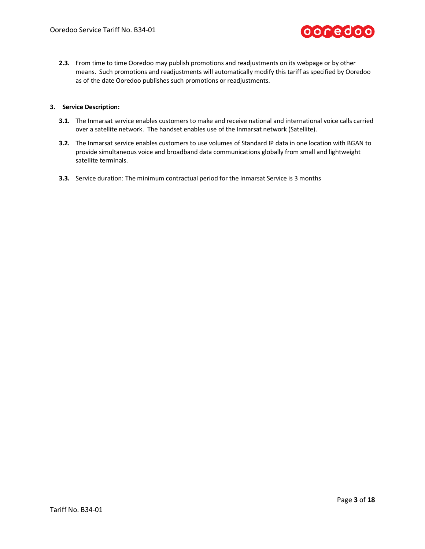

**2.3.** From time to time Ooredoo may publish promotions and readjustments on its webpage or by other means. Such promotions and readjustments will automatically modify this tariff as specified by Ooredoo as of the date Ooredoo publishes such promotions or readjustments.

#### **3. Service Description:**

- **3.1.** The Inmarsat service enables customers to make and receive national and international voice calls carried over a satellite network. The handset enables use of the Inmarsat network (Satellite).
- **3.2.** The Inmarsat service enables customers to use volumes of Standard IP data in one location with BGAN to provide simultaneous voice and broadband data communications globally from small and lightweight satellite terminals.
- **3.3.** Service duration: The minimum contractual period for the Inmarsat Service is 3 months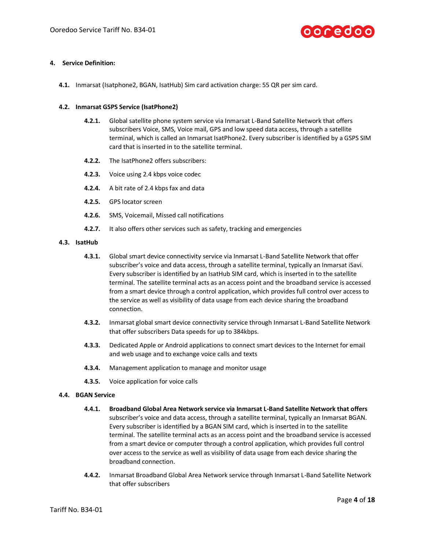

#### **4. Service Definition:**

**4.1.** Inmarsat (Isatphone2, BGAN, IsatHub) Sim card activation charge: 55 QR per sim card.

#### **4.2. Inmarsat GSPS Service (IsatPhone2)**

- **4.2.1.** Global satellite phone system service via Inmarsat L-Band Satellite Network that offers subscribers Voice, SMS, Voice mail, GPS and low speed data access, through a satellite terminal, which is called an Inmarsat IsatPhone2. Every subscriber is identified by a GSPS SIM card that is inserted in to the satellite terminal.
- **4.2.2.** The IsatPhone2 offers subscribers:
- **4.2.3.** Voice using 2.4 kbps voice codec
- **4.2.4.** A bit rate of 2.4 kbps fax and data
- **4.2.5.** GPS locator screen
- **4.2.6.** SMS, Voicemail, Missed call notifications
- **4.2.7.** It also offers other services such as safety, tracking and emergencies
- **4.3. IsatHub** 
	- **4.3.1.** Global smart device connectivity service via Inmarsat L-Band Satellite Network that offer subscriber's voice and data access, through a satellite terminal, typically an Inmarsat iSavi. Every subscriber is identified by an IsatHub SIM card, which is inserted in to the satellite terminal. The satellite terminal acts as an access point and the broadband service is accessed from a smart device through a control application, which provides full control over access to the service as well as visibility of data usage from each device sharing the broadband connection.
	- **4.3.2.** Inmarsat global smart device connectivity service through Inmarsat L-Band Satellite Network that offer subscribers Data speeds for up to 384kbps.
	- **4.3.3.** Dedicated Apple or Android applications to connect smart devices to the Internet for email and web usage and to exchange voice calls and texts
	- **4.3.4.** Management application to manage and monitor usage
	- **4.3.5.** Voice application for voice calls

#### **4.4. BGAN Service**

- **4.4.1. Broadband Global Area Network service via Inmarsat L-Band Satellite Network that offers**  subscriber's voice and data access, through a satellite terminal, typically an Inmarsat BGAN. Every subscriber is identified by a BGAN SIM card, which is inserted in to the satellite terminal. The satellite terminal acts as an access point and the broadband service is accessed from a smart device or computer through a control application, which provides full control over access to the service as well as visibility of data usage from each device sharing the broadband connection.
- **4.4.2.** Inmarsat Broadband Global Area Network service through Inmarsat L-Band Satellite Network that offer subscribers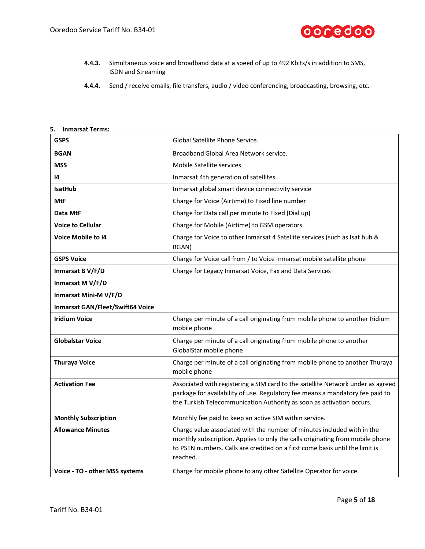

- **4.4.3.** Simultaneous voice and broadband data at a speed of up to 492 Kbits/s in addition to SMS, ISDN and Streaming
- **4.4.4.** Send / receive emails, file transfers, audio / video conferencing, broadcasting, browsing, etc.

#### **5. Inmarsat Terms:**

| <b>GSPS</b>                             | Global Satellite Phone Service.                                                                                                                                                                                                                      |
|-----------------------------------------|------------------------------------------------------------------------------------------------------------------------------------------------------------------------------------------------------------------------------------------------------|
| <b>BGAN</b>                             | Broadband Global Area Network service.                                                                                                                                                                                                               |
| <b>MSS</b>                              | <b>Mobile Satellite services</b>                                                                                                                                                                                                                     |
| 14                                      | Inmarsat 4th generation of satellites                                                                                                                                                                                                                |
| <b>IsatHub</b>                          | Inmarsat global smart device connectivity service                                                                                                                                                                                                    |
| <b>MtF</b>                              | Charge for Voice (Airtime) to Fixed line number                                                                                                                                                                                                      |
| Data MtF                                | Charge for Data call per minute to Fixed (Dial up)                                                                                                                                                                                                   |
| <b>Voice to Cellular</b>                | Charge for Mobile (Airtime) to GSM operators                                                                                                                                                                                                         |
| <b>Voice Mobile to I4</b>               | Charge for Voice to other Inmarsat 4 Satellite services (such as Isat hub &<br>BGAN)                                                                                                                                                                 |
| <b>GSPS Voice</b>                       | Charge for Voice call from / to Voice Inmarsat mobile satellite phone                                                                                                                                                                                |
| Inmarsat B V/F/D                        | Charge for Legacy Inmarsat Voice, Fax and Data Services                                                                                                                                                                                              |
| Inmarsat M V/F/D                        |                                                                                                                                                                                                                                                      |
| Inmarsat Mini-M V/F/D                   |                                                                                                                                                                                                                                                      |
| <b>Inmarsat GAN/Fleet/Swift64 Voice</b> |                                                                                                                                                                                                                                                      |
| <b>Iridium Voice</b>                    | Charge per minute of a call originating from mobile phone to another Iridium<br>mobile phone                                                                                                                                                         |
| <b>Globalstar Voice</b>                 | Charge per minute of a call originating from mobile phone to another<br>GlobalStar mobile phone                                                                                                                                                      |
| <b>Thuraya Voice</b>                    | Charge per minute of a call originating from mobile phone to another Thuraya<br>mobile phone                                                                                                                                                         |
| <b>Activation Fee</b>                   | Associated with registering a SIM card to the satellite Network under as agreed<br>package for availability of use. Regulatory fee means a mandatory fee paid to<br>the Turkish Telecommunication Authority as soon as activation occurs.            |
| <b>Monthly Subscription</b>             | Monthly fee paid to keep an active SIM within service.                                                                                                                                                                                               |
| <b>Allowance Minutes</b>                | Charge value associated with the number of minutes included with in the<br>monthly subscription. Applies to only the calls originating from mobile phone<br>to PSTN numbers. Calls are credited on a first come basis until the limit is<br>reached. |
| Voice - TO - other MSS systems          | Charge for mobile phone to any other Satellite Operator for voice.                                                                                                                                                                                   |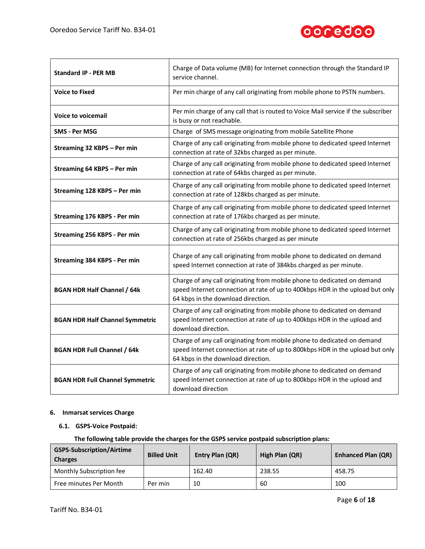

| <b>Standard IP - PER MB</b>            | Charge of Data volume (MB) for Internet connection through the Standard IP<br>service channel.                                                                                                 |
|----------------------------------------|------------------------------------------------------------------------------------------------------------------------------------------------------------------------------------------------|
| <b>Voice to Fixed</b>                  | Per min charge of any call originating from mobile phone to PSTN numbers.                                                                                                                      |
| <b>Voice to voicemail</b>              | Per min charge of any call that is routed to Voice Mail service if the subscriber<br>is busy or not reachable.                                                                                 |
| <b>SMS - Per MSG</b>                   | Charge of SMS message originating from mobile Satellite Phone                                                                                                                                  |
| Streaming 32 KBPS - Per min            | Charge of any call originating from mobile phone to dedicated speed Internet<br>connection at rate of 32kbs charged as per minute.                                                             |
| Streaming 64 KBPS - Per min            | Charge of any call originating from mobile phone to dedicated speed Internet<br>connection at rate of 64kbs charged as per minute.                                                             |
| Streaming 128 KBPS - Per min           | Charge of any call originating from mobile phone to dedicated speed Internet<br>connection at rate of 128kbs charged as per minute.                                                            |
| Streaming 176 KBPS - Per min           | Charge of any call originating from mobile phone to dedicated speed Internet<br>connection at rate of 176kbs charged as per minute.                                                            |
| Streaming 256 KBPS - Per min           | Charge of any call originating from mobile phone to dedicated speed Internet<br>connection at rate of 256kbs charged as per minute                                                             |
| Streaming 384 KBPS - Per min           | Charge of any call originating from mobile phone to dedicated on demand<br>speed Internet connection at rate of 384kbs charged as per minute.                                                  |
| <b>BGAN HDR Half Channel / 64k</b>     | Charge of any call originating from mobile phone to dedicated on demand<br>speed Internet connection at rate of up to 400kbps HDR in the upload but only<br>64 kbps in the download direction. |
| <b>BGAN HDR Half Channel Symmetric</b> | Charge of any call originating from mobile phone to dedicated on demand<br>speed Internet connection at rate of up to 400kbps HDR in the upload and<br>download direction.                     |
| <b>BGAN HDR Full Channel / 64k</b>     | Charge of any call originating from mobile phone to dedicated on demand<br>speed Internet connection at rate of up to 800kbps HDR in the upload but only<br>64 kbps in the download direction. |
| <b>BGAN HDR Full Channel Symmetric</b> | Charge of any call originating from mobile phone to dedicated on demand<br>speed Internet connection at rate of up to 800kbps HDR in the upload and<br>download direction                      |

# **6. Inmarsat services Charge**

**6.1. GSPS-Voice Postpaid:** 

# **The following table provide the charges for the GSPS service postpaid subscription plans:**

| <b>GSPS-Subscription/Airtime</b><br>Charges | <b>Billed Unit</b> | Entry Plan (QR) | High Plan (QR) | Enhanced Plan (QR) |
|---------------------------------------------|--------------------|-----------------|----------------|--------------------|
| Monthly Subscription fee                    |                    | 162.40          | 238.55         | 458.75             |
| Free minutes Per Month                      | Per min            | 10              | 60             | 100                |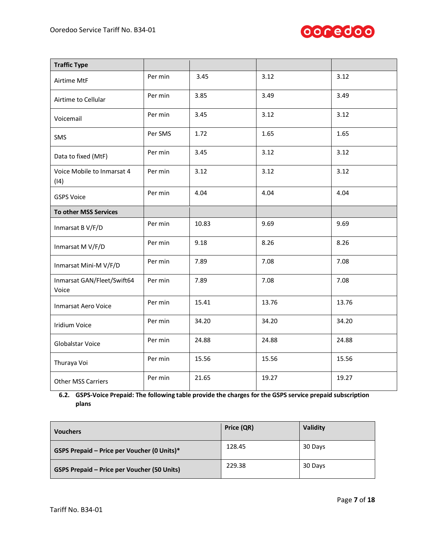

| <b>Traffic Type</b>                 |         |       |       |       |
|-------------------------------------|---------|-------|-------|-------|
| Airtime MtF                         | Per min | 3.45  | 3.12  | 3.12  |
| Airtime to Cellular                 | Per min | 3.85  | 3.49  | 3.49  |
| Voicemail                           | Per min | 3.45  | 3.12  | 3.12  |
| SMS                                 | Per SMS | 1.72  | 1.65  | 1.65  |
| Data to fixed (MtF)                 | Per min | 3.45  | 3.12  | 3.12  |
| Voice Mobile to Inmarsat 4<br>(14)  | Per min | 3.12  | 3.12  | 3.12  |
| <b>GSPS Voice</b>                   | Per min | 4.04  | 4.04  | 4.04  |
| <b>To other MSS Services</b>        |         |       |       |       |
| Inmarsat B V/F/D                    | Per min | 10.83 | 9.69  | 9.69  |
| Inmarsat M V/F/D                    | Per min | 9.18  | 8.26  | 8.26  |
| Inmarsat Mini-M V/F/D               | Per min | 7.89  | 7.08  | 7.08  |
| Inmarsat GAN/Fleet/Swift64<br>Voice | Per min | 7.89  | 7.08  | 7.08  |
| <b>Inmarsat Aero Voice</b>          | Per min | 15.41 | 13.76 | 13.76 |
| Iridium Voice                       | Per min | 34.20 | 34.20 | 34.20 |
| Globalstar Voice                    | Per min | 24.88 | 24.88 | 24.88 |
| Thuraya Voi                         | Per min | 15.56 | 15.56 | 15.56 |
| <b>Other MSS Carriers</b>           | Per min | 21.65 | 19.27 | 19.27 |

**6.2. GSPS-Voice Prepaid: The following table provide the charges for the GSPS service prepaid subscription plans** 

| <b>Vouchers</b>                             | Price (QR) | Validity |
|---------------------------------------------|------------|----------|
| GSPS Prepaid - Price per Voucher (0 Units)* | 128.45     | 30 Days  |
| GSPS Prepaid – Price per Voucher (50 Units) | 229.38     | 30 Days  |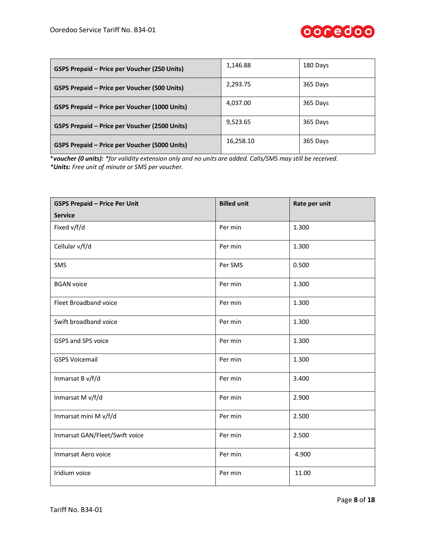

| GSPS Prepaid – Price per Voucher (250 Units)        | 1,146.88  | 180 Days |
|-----------------------------------------------------|-----------|----------|
| <b>GSPS Prepaid - Price per Voucher (500 Units)</b> | 2,293.75  | 365 Days |
| GSPS Prepaid - Price per Voucher (1000 Units)       | 4,037.00  | 365 Days |
| GSPS Prepaid – Price per Voucher (2500 Units)       | 9,523.65  | 365 Days |
| GSPS Prepaid – Price per Voucher (5000 Units)       | 16,258.10 | 365 Days |

\**voucher (0 units): \*for validity extension only and no units are added. Calls/SMS may still be received. \*Units: Free unit of minute or SMS per voucher.* 

| <b>GSPS Prepaid - Price Per Unit</b> | <b>Billed unit</b> | Rate per unit |
|--------------------------------------|--------------------|---------------|
| <b>Service</b>                       |                    |               |
| Fixed v/f/d                          | Per min            | 1.300         |
| Cellular v/f/d                       | Per min            | 1.300         |
| SMS                                  | Per SMS            | 0.500         |
| <b>BGAN</b> voice                    | Per min            | 1.300         |
| Fleet Broadband voice                | Per min            | 1.300         |
| Swift broadband voice                | Per min            | 1.300         |
| GSPS and SPS voice                   | Per min            | 1.300         |
| <b>GSPS Voicemail</b>                | Per min            | 1.300         |
| Inmarsat B v/f/d                     | Per min            | 3.400         |
| Inmarsat M v/f/d                     | Per min            | 2.900         |
| Inmarsat mini M v/f/d                | Per min            | 2.500         |
| Inmarsat GAN/Fleet/Swift voice       | Per min            | 2.500         |
| Inmarsat Aero voice                  | Per min            | 4.900         |
| Iridium voice                        | Per min            | 11.00         |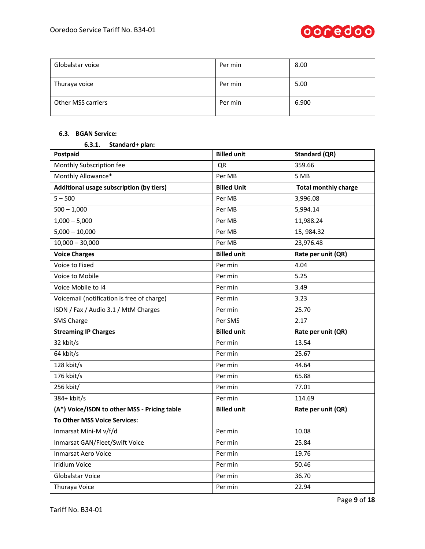

| Globalstar voice   | Per min | 8.00  |
|--------------------|---------|-------|
| Thuraya voice      | Per min | 5.00  |
| Other MSS carriers | Per min | 6.900 |

# **6.3. BGAN Service:**

# **6.3.1. Standard+ plan:**

| Postpaid                                     | <b>Billed unit</b> | <b>Standard (QR)</b>        |
|----------------------------------------------|--------------------|-----------------------------|
| Monthly Subscription fee                     | QR                 | 359.66                      |
| Monthly Allowance*                           | Per MB             | 5 MB                        |
| Additional usage subscription (by tiers)     | <b>Billed Unit</b> | <b>Total monthly charge</b> |
| $5 - 500$                                    | Per MB             | 3,996.08                    |
| $500 - 1,000$                                | Per MB             | 5,994.14                    |
| $1,000 - 5,000$                              | Per MB             | 11,988.24                   |
| $5,000 - 10,000$                             | Per MB             | 15, 984.32                  |
| $10,000 - 30,000$                            | Per MB             | 23,976.48                   |
| <b>Voice Charges</b>                         | <b>Billed unit</b> | Rate per unit (QR)          |
| Voice to Fixed                               | Per min            | 4.04                        |
| Voice to Mobile                              | Per min            | 5.25                        |
| Voice Mobile to 14                           | Per min            | 3.49                        |
| Voicemail (notification is free of charge)   | Per min            | 3.23                        |
| ISDN / Fax / Audio 3.1 / MtM Charges         | Per min            | 25.70                       |
| SMS Charge                                   | Per SMS            | 2.17                        |
| <b>Streaming IP Charges</b>                  | <b>Billed unit</b> | Rate per unit (QR)          |
| 32 kbit/s                                    | Per min            | 13.54                       |
| 64 kbit/s                                    | Per min            | 25.67                       |
| 128 kbit/s                                   | Per min            | 44.64                       |
| 176 kbit/s                                   | Per min            | 65.88                       |
| 256 kbit/                                    | Per min            | 77.01                       |
| 384+ kbit/s                                  | Per min            | 114.69                      |
| (A*) Voice/ISDN to other MSS - Pricing table | <b>Billed unit</b> | Rate per unit (QR)          |
| <b>To Other MSS Voice Services:</b>          |                    |                             |
| Inmarsat Mini-M v/f/d                        | Per min            | 10.08                       |
| Inmarsat GAN/Fleet/Swift Voice               | Per min            | 25.84                       |
| <b>Inmarsat Aero Voice</b>                   | Per min            | 19.76                       |
| <b>Iridium Voice</b>                         | Per min            | 50.46                       |
| Globalstar Voice                             | Per min            | 36.70                       |
| Thuraya Voice                                | Per min            | 22.94                       |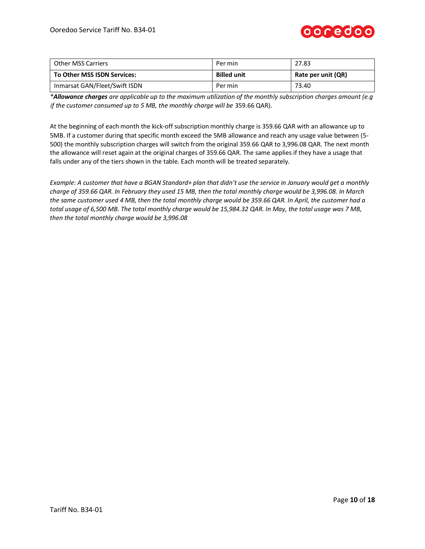

| Other MSS Carriers            | Per min            | 27.83              |
|-------------------------------|--------------------|--------------------|
| To Other MSS ISDN Services:   | <b>Billed unit</b> | Rate per unit (QR) |
| Inmarsat GAN/Fleet/Swift ISDN | Per min            | 73.40              |

*\*Allowance charges are applicable up to the maximum utilization of the monthly subscription charges amount (e.g if the customer consumed up to 5 MB, the monthly charge will be* 359.66 QAR).

At the beginning of each month the kick-off subscription monthly charge is 359.66 QAR with an allowance up to 5MB. If a customer during that specific month exceed the 5MB allowance and reach any usage value between (5- 500) the monthly subscription charges will switch from the original 359.66 QAR to 3,996.08 QAR. The next month the allowance will reset again at the original charges of 359.66 QAR. The same applies if they have a usage that falls under any of the tiers shown in the table. Each month will be treated separately.

*Example: A customer that have a BGAN Standard+ plan that didn't use the service in January would get a monthly charge of 359.66 QAR. In February they used 15 MB, then the total monthly charge would be 3,996.08. In March the same customer used 4 MB, then the total monthly charge would be 359.66 QAR. In April, the customer had a total usage of 6,500 MB. The total monthly charge would be 15,984.32 QAR. In May, the total usage was 7 MB, then the total monthly charge would be 3,996.08*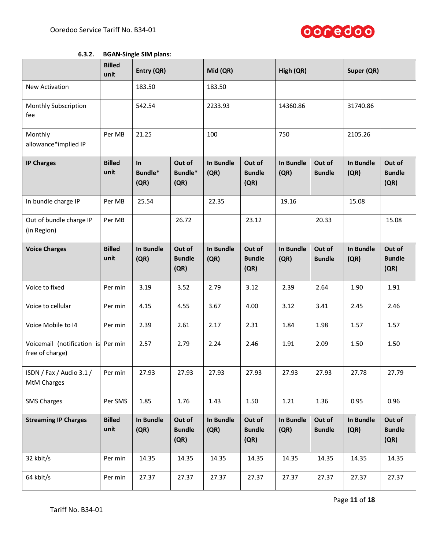

# **6.3.2. BGAN-Single SIM plans:**

|                                                      | <b>Billed</b><br>unit | Entry (QR)               |                                 | Mid (QR)          |                                 | High (QR)                |                         | Super (QR)        |                                 |
|------------------------------------------------------|-----------------------|--------------------------|---------------------------------|-------------------|---------------------------------|--------------------------|-------------------------|-------------------|---------------------------------|
| New Activation                                       |                       | 183.50                   |                                 | 183.50            |                                 |                          |                         |                   |                                 |
| <b>Monthly Subscription</b><br>fee                   |                       | 542.54                   |                                 | 2233.93           |                                 | 14360.86                 |                         | 31740.86          |                                 |
| Monthly<br>allowance*implied IP                      | Per MB                | 21.25                    |                                 | 100               |                                 | 750                      |                         | 2105.26           |                                 |
| <b>IP Charges</b>                                    | <b>Billed</b><br>unit | $\ln$<br>Bundle*<br>(QR) | Out of<br>Bundle*<br>(QR)       | In Bundle<br>(QR) | Out of<br><b>Bundle</b><br>(QR) | In Bundle<br>(QR)        | Out of<br><b>Bundle</b> | In Bundle<br>(QR) | Out of<br><b>Bundle</b><br>(QR) |
| In bundle charge IP                                  | Per MB                | 25.54                    |                                 | 22.35             |                                 | 19.16                    |                         | 15.08             |                                 |
| Out of bundle charge IP<br>(in Region)               | Per MB                |                          | 26.72                           |                   | 23.12                           |                          | 20.33                   |                   | 15.08                           |
| <b>Voice Charges</b>                                 | <b>Billed</b><br>unit | In Bundle<br>(QR)        | Out of<br><b>Bundle</b><br>(QR) | In Bundle<br>(QR) | Out of<br><b>Bundle</b><br>(QR) | In Bundle<br>(QR)        | Out of<br><b>Bundle</b> | In Bundle<br>(QR) | Out of<br><b>Bundle</b><br>(QR) |
| Voice to fixed                                       | Per min               | 3.19                     | 3.52                            | 2.79              | 3.12                            | 2.39                     | 2.64                    | 1.90              | 1.91                            |
| Voice to cellular                                    | Per min               | 4.15                     | 4.55                            | 3.67              | 4.00                            | 3.12                     | 3.41                    | 2.45              | 2.46                            |
| Voice Mobile to I4                                   | Per min               | 2.39                     | 2.61                            | 2.17              | 2.31                            | 1.84                     | 1.98                    | 1.57              | 1.57                            |
| Voicemail (notification is Permin<br>free of charge) |                       | 2.57                     | 2.79                            | 2.24              | 2.46                            | 1.91                     | 2.09                    | 1.50              | 1.50                            |
| ISDN / Fax / Audio 3.1 /<br>MtM Charges              | Per min               | 27.93                    | 27.93                           | 27.93             | 27.93                           | 27.93                    | 27.93                   | 27.78             | 27.79                           |
| <b>SMS Charges</b>                                   | Per SMS               | 1.85                     | 1.76                            | 1.43              | 1.50                            | 1.21                     | 1.36                    | 0.95              | 0.96                            |
| <b>Streaming IP Charges</b>                          | <b>Billed</b><br>unit | In Bundle<br>(QR)        | Out of<br><b>Bundle</b><br>(QR) | In Bundle<br>(QR) | Out of<br><b>Bundle</b><br>(QR) | <b>In Bundle</b><br>(QR) | Out of<br><b>Bundle</b> | In Bundle<br>(QR) | Out of<br><b>Bundle</b><br>(QR) |
| 32 kbit/s                                            | Per min               | 14.35                    | 14.35                           | 14.35             | 14.35                           | 14.35                    | 14.35                   | 14.35             | 14.35                           |
| 64 kbit/s                                            | Per min               | 27.37                    | 27.37                           | 27.37             | 27.37                           | 27.37                    | 27.37                   | 27.37             | 27.37                           |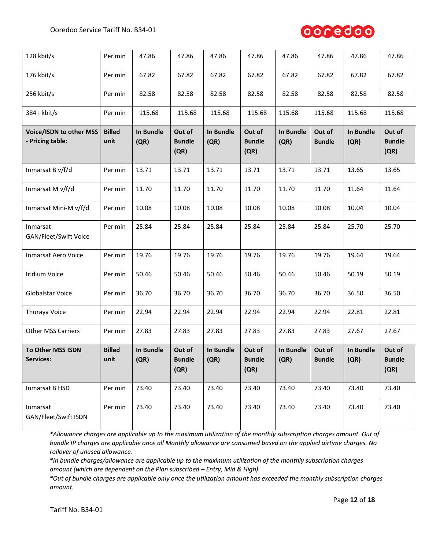

| 128 kbit/s                                         | Per min               | 47.86             | 47.86                           | 47.86             | 47.86                           | 47.86             | 47.86                   | 47.86             | 47.86                           |
|----------------------------------------------------|-----------------------|-------------------|---------------------------------|-------------------|---------------------------------|-------------------|-------------------------|-------------------|---------------------------------|
| 176 kbit/s                                         | Per min               | 67.82             | 67.82                           | 67.82             | 67.82                           | 67.82             | 67.82                   | 67.82             | 67.82                           |
| 256 kbit/s                                         | Per min               | 82.58             | 82.58                           | 82.58             | 82.58                           | 82.58             | 82.58                   | 82.58             | 82.58                           |
| 384+ kbit/s                                        | Per min               | 115.68            | 115.68                          | 115.68            | 115.68                          | 115.68            | 115.68                  | 115.68            | 115.68                          |
| <b>Voice/ISDN to other MSS</b><br>- Pricing table: | <b>Billed</b><br>unit | In Bundle<br>(QR) | Out of<br><b>Bundle</b><br>(QR) | In Bundle<br>(QR) | Out of<br><b>Bundle</b><br>(QR) | In Bundle<br>(QR) | Out of<br><b>Bundle</b> | In Bundle<br>(QR) | Out of<br><b>Bundle</b><br>(QR) |
| Inmarsat B v/f/d                                   | Per min               | 13.71             | 13.71                           | 13.71             | 13.71                           | 13.71             | 13.71                   | 13.65             | 13.65                           |
| Inmarsat M v/f/d                                   | Per min               | 11.70             | 11.70                           | 11.70             | 11.70                           | 11.70             | 11.70                   | 11.64             | 11.64                           |
| Inmarsat Mini-M v/f/d                              | Per min               | 10.08             | 10.08                           | 10.08             | 10.08                           | 10.08             | 10.08                   | 10.04             | 10.04                           |
| Inmarsat<br>GAN/Fleet/Swift Voice                  | Per min               | 25.84             | 25.84                           | 25.84             | 25.84                           | 25.84             | 25.84                   | 25.70             | 25.70                           |
| <b>Inmarsat Aero Voice</b>                         | Per min               | 19.76             | 19.76                           | 19.76             | 19.76                           | 19.76             | 19.76                   | 19.64             | 19.64                           |
| <b>Iridium Voice</b>                               | Per min               | 50.46             | 50.46                           | 50.46             | 50.46                           | 50.46             | 50.46                   | 50.19             | 50.19                           |
| Globalstar Voice                                   | Per min               | 36.70             | 36.70                           | 36.70             | 36.70                           | 36.70             | 36.70                   | 36.50             | 36.50                           |
| Thuraya Voice                                      | Per min               | 22.94             | 22.94                           | 22.94             | 22.94                           | 22.94             | 22.94                   | 22.81             | 22.81                           |
| <b>Other MSS Carriers</b>                          | Per min               | 27.83             | 27.83                           | 27.83             | 27.83                           | 27.83             | 27.83                   | 27.67             | 27.67                           |
| To Other MSS ISDN<br>Services:                     | <b>Billed</b><br>unit | In Bundle<br>(QR) | Out of<br><b>Bundle</b><br>(QR) | In Bundle<br>(QR) | Out of<br><b>Bundle</b><br>(QR) | In Bundle<br>(QR) | Out of<br><b>Bundle</b> | In Bundle<br>(QR) | Out of<br><b>Bundle</b><br>(QR) |
| Inmarsat B HSD                                     | Per min               | 73.40             | 73.40                           | 73.40             | 73.40                           | 73.40             | 73.40                   | 73.40             | 73.40                           |
| Inmarsat<br>GAN/Fleet/Swift ISDN                   | Per min               | 73.40             | 73.40                           | 73.40             | 73.40                           | 73.40             | 73.40                   | 73.40             | 73.40                           |

*\*Allowance charges are applicable up to the maximum utilization of the monthly subscription charges amount. Out of bundle IP charges are applicable once all Monthly allowance are consumed based on the applied airtime charges. No rollover of unused allowance.* 

*\*In bundle charges/allowance are applicable up to the maximum utilization of the monthly subscription charges amount (which are dependent on the Plan subscribed – Entry, Mid & High).* 

*\*Out of bundle charges are applicable only once the utilization amount has exceeded the monthly subscription charges amount.*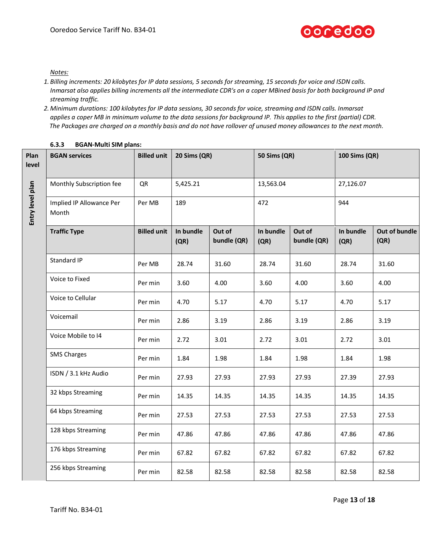

*Notes:*

- *1. Billing increments: 20 kilobytes for IP data sessions, 5 seconds for streaming, 15 seconds for voice and ISDN calls. Inmarsat also applies billing increments all the intermediate CDR's on a coper MBined basis for both background IP and streaming traffic.*
- *2. Minimum durations: 100 kilobytes for IP data sessions, 30 seconds for voice, streaming and ISDN calls. Inmarsat applies a coper MB in minimum volume to the data sessions for background IP. This applies to the first (partial) CDR. The Packages are charged on a monthly basis and do not have rollover of unused money allowances to the next month.*

| Plan<br>level    | <b>BGAN services</b>              | <b>Billed unit</b> | 20 Sims (QR)      |                       | <b>50 Sims (QR)</b> |                       | 100 Sims (QR)     |                       |
|------------------|-----------------------------------|--------------------|-------------------|-----------------------|---------------------|-----------------------|-------------------|-----------------------|
|                  | Monthly Subscription fee          | QR                 | 5,425.21          |                       | 13,563.04           |                       | 27,126.07         |                       |
| Entry level plan | Implied IP Allowance Per<br>Month | Per MB             | 189               |                       | 472                 |                       | 944               |                       |
|                  | <b>Traffic Type</b>               | <b>Billed unit</b> | In bundle<br>(QR) | Out of<br>bundle (QR) | In bundle<br>(QR)   | Out of<br>bundle (QR) | In bundle<br>(QR) | Out of bundle<br>(QR) |
|                  | Standard IP                       | Per MB             | 28.74             | 31.60                 | 28.74               | 31.60                 | 28.74             | 31.60                 |
|                  | Voice to Fixed                    | Per min            | 3.60              | 4.00                  | 3.60                | 4.00                  | 3.60              | 4.00                  |
|                  | Voice to Cellular                 | Per min            | 4.70              | 5.17                  | 4.70                | 5.17                  | 4.70              | 5.17                  |
|                  | Voicemail                         | Per min            | 2.86              | 3.19                  | 2.86                | 3.19                  | 2.86              | 3.19                  |
|                  | Voice Mobile to I4                | Per min            | 2.72              | 3.01                  | 2.72                | 3.01                  | 2.72              | 3.01                  |
|                  | <b>SMS Charges</b>                | Per min            | 1.84              | 1.98                  | 1.84                | 1.98                  | 1.84              | 1.98                  |
|                  | ISDN / 3.1 kHz Audio              | Per min            | 27.93             | 27.93                 | 27.93               | 27.93                 | 27.39             | 27.93                 |
|                  | 32 kbps Streaming                 | Per min            | 14.35             | 14.35                 | 14.35               | 14.35                 | 14.35             | 14.35                 |
|                  | 64 kbps Streaming                 | Per min            | 27.53             | 27.53                 | 27.53               | 27.53                 | 27.53             | 27.53                 |
|                  | 128 kbps Streaming                | Per min            | 47.86             | 47.86                 | 47.86               | 47.86                 | 47.86             | 47.86                 |
|                  | 176 kbps Streaming                | Per min            | 67.82             | 67.82                 | 67.82               | 67.82                 | 67.82             | 67.82                 |
|                  | 256 kbps Streaming                | Per min            | 82.58             | 82.58                 | 82.58               | 82.58                 | 82.58             | 82.58                 |

# **6.3.3 BGAN-Multi SIM plans:**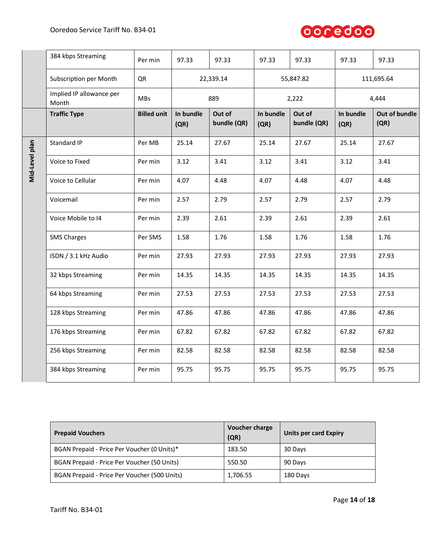

|                | 384 kbps Streaming                | Per min            | 97.33             | 97.33                 | 97.33             | 97.33                 | 97.33             | 97.33                 |
|----------------|-----------------------------------|--------------------|-------------------|-----------------------|-------------------|-----------------------|-------------------|-----------------------|
|                | Subscription per Month            | QR                 |                   | 22,339.14             |                   | 55,847.82             |                   | 111,695.64            |
|                | Implied IP allowance per<br>Month | <b>MBs</b>         |                   | 889                   |                   | 2,222                 |                   | 4,444                 |
|                | <b>Traffic Type</b>               | <b>Billed unit</b> | In bundle<br>(QR) | Out of<br>bundle (QR) | In bundle<br>(QR) | Out of<br>bundle (QR) | In bundle<br>(QR) | Out of bundle<br>(QR) |
|                | Standard IP                       | Per MB             | 25.14             | 27.67                 | 25.14             | 27.67                 | 25.14             | 27.67                 |
| Mid-Level plan | Voice to Fixed                    | Per min            | 3.12              | 3.41                  | 3.12              | 3.41                  | 3.12              | 3.41                  |
|                | Voice to Cellular                 | Per min            | 4.07              | 4.48                  | 4.07              | 4.48                  | 4.07              | 4.48                  |
|                | Voicemail                         | Per min            | 2.57              | 2.79                  | 2.57              | 2.79                  | 2.57              | 2.79                  |
|                | Voice Mobile to I4                | Per min            | 2.39              | 2.61                  | 2.39              | 2.61                  | 2.39              | 2.61                  |
|                | <b>SMS Charges</b>                | Per SMS            | 1.58              | 1.76                  | 1.58              | 1.76                  | 1.58              | 1.76                  |
|                | ISDN / 3.1 kHz Audio              | Per min            | 27.93             | 27.93                 | 27.93             | 27.93                 | 27.93             | 27.93                 |
|                | 32 kbps Streaming                 | Per min            | 14.35             | 14.35                 | 14.35             | 14.35                 | 14.35             | 14.35                 |
|                | 64 kbps Streaming                 | Per min            | 27.53             | 27.53                 | 27.53             | 27.53                 | 27.53             | 27.53                 |
|                | 128 kbps Streaming                | Per min            | 47.86             | 47.86                 | 47.86             | 47.86                 | 47.86             | 47.86                 |
|                | 176 kbps Streaming                | Per min            | 67.82             | 67.82                 | 67.82             | 67.82                 | 67.82             | 67.82                 |
|                | 256 kbps Streaming                | Per min            | 82.58             | 82.58                 | 82.58             | 82.58                 | 82.58             | 82.58                 |
|                | 384 kbps Streaming                | Per min            | 95.75             | 95.75                 | 95.75             | 95.75                 | 95.75             | 95.75                 |

| <b>Prepaid Vouchers</b>                      | Voucher charge<br>(QR) | <b>Units per card Expiry</b> |
|----------------------------------------------|------------------------|------------------------------|
| BGAN Prepaid - Price Per Voucher (0 Units)*  | 183.50                 | 30 Days                      |
| BGAN Prepaid - Price Per Voucher (50 Units)  | 550.50                 | 90 Days                      |
| BGAN Prepaid - Price Per Voucher (500 Units) | 1,706.55               | 180 Days                     |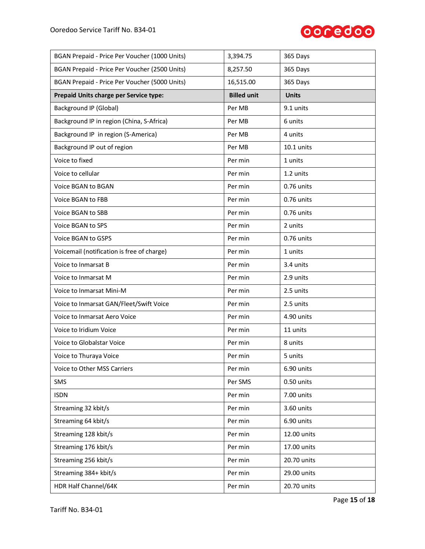

| BGAN Prepaid - Price Per Voucher (1000 Units) | 3,394.75           | 365 Days     |
|-----------------------------------------------|--------------------|--------------|
| BGAN Prepaid - Price Per Voucher (2500 Units) | 8,257.50           | 365 Days     |
| BGAN Prepaid - Price Per Voucher (5000 Units) | 16,515.00          | 365 Days     |
| Prepaid Units charge per Service type:        | <b>Billed unit</b> | <b>Units</b> |
| Background IP (Global)                        | Per MB             | 9.1 units    |
| Background IP in region (China, S-Africa)     | Per MB             | 6 units      |
| Background IP in region (S-America)           | Per MB             | 4 units      |
| Background IP out of region                   | Per MB             | 10.1 units   |
| Voice to fixed                                | Per min            | 1 units      |
| Voice to cellular                             | Per min            | 1.2 units    |
| <b>Voice BGAN to BGAN</b>                     | Per min            | 0.76 units   |
| Voice BGAN to FBB                             | Per min            | 0.76 units   |
| Voice BGAN to SBB                             | Per min            | 0.76 units   |
| Voice BGAN to SPS                             | Per min            | 2 units      |
| <b>Voice BGAN to GSPS</b>                     | Per min            | 0.76 units   |
| Voicemail (notification is free of charge)    | Per min            | 1 units      |
| Voice to Inmarsat B                           | Per min            | 3.4 units    |
| Voice to Inmarsat M                           | Per min            | 2.9 units    |
| Voice to Inmarsat Mini-M                      | Per min            | 2.5 units    |
| Voice to Inmarsat GAN/Fleet/Swift Voice       | Per min            | 2.5 units    |
| Voice to Inmarsat Aero Voice                  | Per min            | 4.90 units   |
| Voice to Iridium Voice                        | Per min            | 11 units     |
| Voice to Globalstar Voice                     | Per min            | 8 units      |
| Voice to Thuraya Voice                        | Per min            | 5 units      |
| Voice to Other MSS Carriers                   | Per min            | 6.90 units   |
| SMS                                           | Per SMS            | 0.50 units   |
| <b>ISDN</b>                                   | Per min            | 7.00 units   |
| Streaming 32 kbit/s                           | Per min            | 3.60 units   |
| Streaming 64 kbit/s                           | Per min            | 6.90 units   |
| Streaming 128 kbit/s                          | Per min            | 12.00 units  |
| Streaming 176 kbit/s                          | Per min            | 17.00 units  |
| Streaming 256 kbit/s                          | Per min            | 20.70 units  |
| Streaming 384+ kbit/s                         | Per min            | 29.00 units  |
| HDR Half Channel/64K                          | Per min            | 20.70 units  |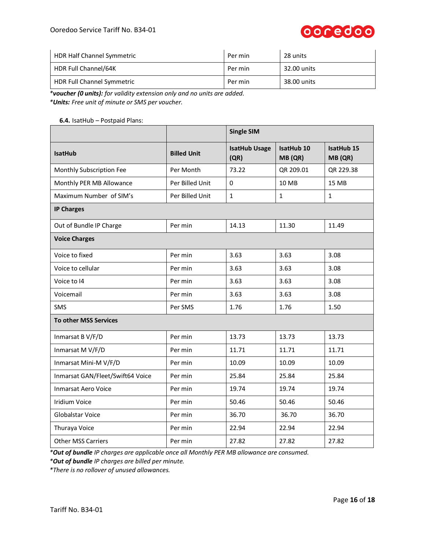

| HDR Half Channel Symmetric | Per min | 28 units    |
|----------------------------|---------|-------------|
| HDR Full Channel/64K       | Per min | 32.00 units |
| HDR Full Channel Symmetric | Per min | 38.00 units |

*\*voucher (0 units): for validity extension only and no units are added.* 

*\*Units: Free unit of minute or SMS per voucher.* 

**6.4.** IsatHub – Postpaid Plans:

|                                  |                    | <b>Single SIM</b>            |                       |                       |
|----------------------------------|--------------------|------------------------------|-----------------------|-----------------------|
| <b>IsatHub</b>                   | <b>Billed Unit</b> | <b>IsatHub Usage</b><br>(QR) | IsatHub 10<br>MB (QR) | IsatHub 15<br>MB (QR) |
| Monthly Subscription Fee         | Per Month          | 73.22                        | QR 209.01             | QR 229.38             |
| Monthly PER MB Allowance         | Per Billed Unit    | 0                            | 10 MB                 | 15 MB                 |
| Maximum Number of SIM's          | Per Billed Unit    | $\mathbf{1}$                 | $\mathbf{1}$          | $\mathbf{1}$          |
| <b>IP Charges</b>                |                    |                              |                       |                       |
| Out of Bundle IP Charge          | Per min            | 14.13                        | 11.30                 | 11.49                 |
| <b>Voice Charges</b>             |                    |                              |                       |                       |
| Voice to fixed                   | Per min            | 3.63                         | 3.63                  | 3.08                  |
| Voice to cellular                | Per min            | 3.63                         | 3.63                  | 3.08                  |
| Voice to 14                      | Per min            | 3.63                         | 3.63                  | 3.08                  |
| Voicemail                        | Per min            | 3.63                         | 3.63                  | 3.08                  |
| <b>SMS</b>                       | Per SMS            | 1.76                         | 1.76                  | 1.50                  |
| <b>To other MSS Services</b>     |                    |                              |                       |                       |
| Inmarsat B V/F/D                 | Per min            | 13.73                        | 13.73                 | 13.73                 |
| Inmarsat M V/F/D                 | Per min            | 11.71                        | 11.71                 | 11.71                 |
| Inmarsat Mini-M V/F/D            | Per min            | 10.09                        | 10.09                 | 10.09                 |
| Inmarsat GAN/Fleet/Swift64 Voice | Per min            | 25.84                        | 25.84                 | 25.84                 |
| <b>Inmarsat Aero Voice</b>       | Per min            | 19.74                        | 19.74                 | 19.74                 |
| <b>Iridium Voice</b>             | Per min            | 50.46                        | 50.46                 | 50.46                 |
| Globalstar Voice                 | Per min            | 36.70                        | 36.70                 | 36.70                 |
| Thuraya Voice                    | Per min            | 22.94                        | 22.94                 | 22.94                 |
| <b>Other MSS Carriers</b>        | Per min            | 27.82                        | 27.82                 | 27.82                 |

*\*Out of bundle IP charges are applicable once all Monthly PER MB allowance are consumed.* 

*\*Out of bundle IP charges are billed per minute.* 

*\*There is no rollover of unused allowances.*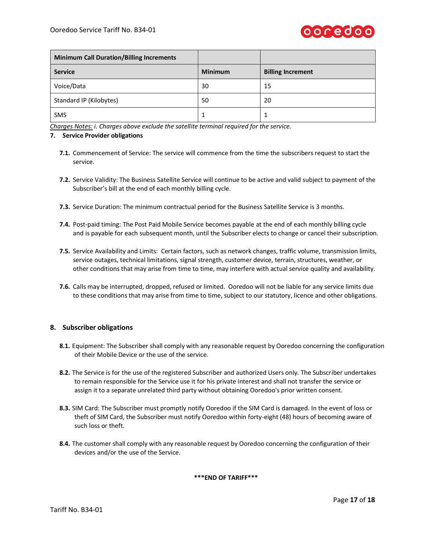

| <b>Minimum Call Duration/Billing Increments</b> |                |                          |
|-------------------------------------------------|----------------|--------------------------|
| <b>Service</b>                                  | <b>Minimum</b> | <b>Billing Increment</b> |
| Voice/Data                                      | 30             | 15                       |
| Standard IP (Kilobytes)                         | 50             | 20                       |
| <b>SMS</b>                                      |                |                          |

*Charges Notes: i. Charges above exclude the satellite terminal required for the service.*

### **7. Service Provider obligations**

- **7.1.** Commencement of Service: The service will commence from the time the subscribers request to start the service.
- **7.2.** Service Validity: The Business Satellite Service will continue to be active and valid subject to payment of the Subscriber's bill at the end of each monthly billing cycle.
- **7.3.** Service Duration: The minimum contractual period for the Business Satellite Service is 3 months.
- **7.4.** Post-paid timing: The Post Paid Mobile Service becomes payable at the end of each monthly billing cycle and is payable for each subsequent month, until the Subscriber elects to change or cancel their subscription.
- **7.5.** Service Availability and Limits: Certain factors, such as network changes, traffic volume, transmission limits, service outages, technical limitations, signal strength, customer device, terrain, structures, weather, or other conditions that may arise from time to time, may interfere with actual service quality and availability.
- **7.6.** Calls may be interrupted, dropped, refused or limited. Ooredoo will not be liable for any service limits due to these conditions that may arise from time to time, subject to our statutory, licence and other obligations.

### **8. Subscriber obligations**

- **8.1.** Equipment: The Subscriber shall comply with any reasonable request by Ooredoo concerning the configuration of their Mobile Device or the use of the service.
- **8.2.** The Service is for the use of the registered Subscriber and authorized Users only. The Subscriber undertakes to remain responsible for the Service use it for his private interest and shall not transfer the service or assign it to a separate unrelated third party without obtaining Ooredoo's prior written consent.
- **8.3.** SIM Card: The Subscriber must promptly notify Ooredoo if the SIM Card is damaged. In the event of loss or theft of SIM Card, the Subscriber must notify Ooredoo within forty-eight (48) hours of becoming aware of such loss or theft.
- **8.4.** The customer shall comply with any reasonable request by Ooredoo concerning the configuration of their devices and/or the use of the Service.

**\*\*\*END OF TARIFF\*\*\***